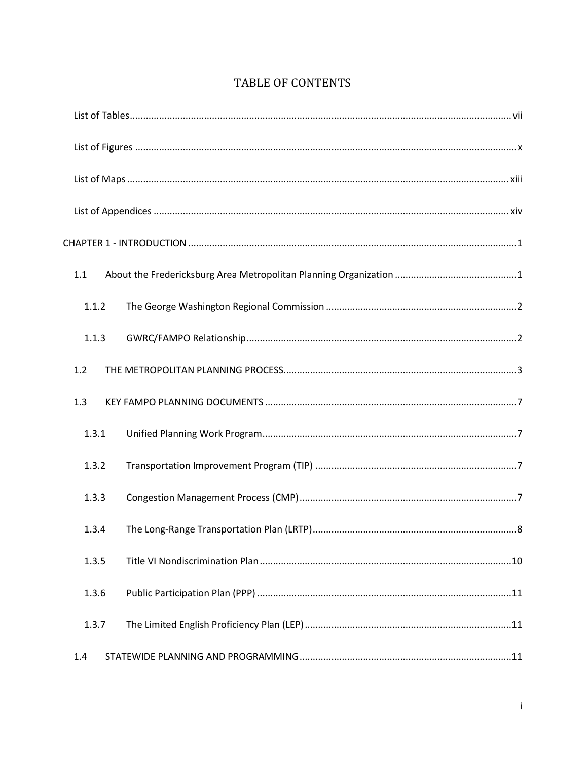|  | <b>TABLE OF CONTENTS</b> |
|--|--------------------------|
|--|--------------------------|

| 1.1   |
|-------|
| 1.1.2 |
| 1.1.3 |
| 1.2   |
| 1.3   |
| 1.3.1 |
| 1.3.2 |
| 1.3.3 |
| 1.3.4 |
| 1.3.5 |
| 1.3.6 |
| 1.3.7 |
| 1.4   |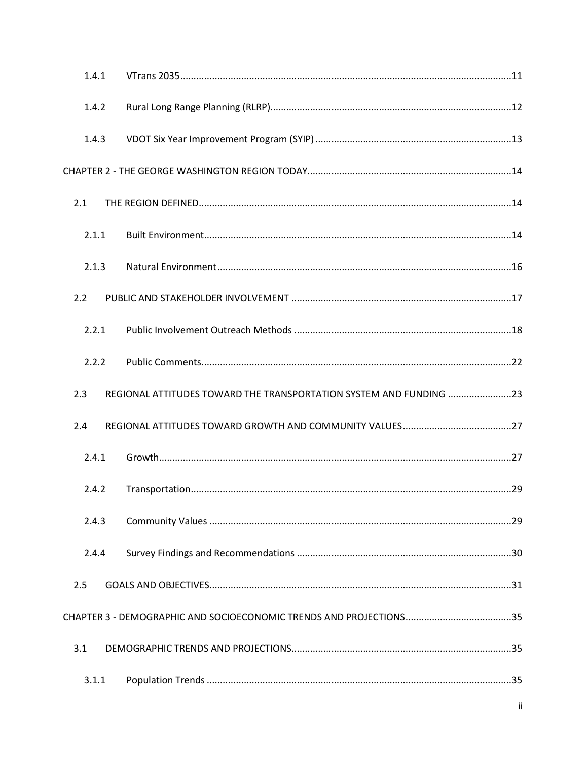| 1.4.1 |                                                                    |  |
|-------|--------------------------------------------------------------------|--|
| 1.4.2 |                                                                    |  |
| 1.4.3 |                                                                    |  |
|       |                                                                    |  |
| 2.1   |                                                                    |  |
| 2.1.1 |                                                                    |  |
| 2.1.3 |                                                                    |  |
| 2.2   |                                                                    |  |
| 2.2.1 |                                                                    |  |
| 2.2.2 |                                                                    |  |
| 2.3   | REGIONAL ATTITUDES TOWARD THE TRANSPORTATION SYSTEM AND FUNDING 23 |  |
| 2.4   |                                                                    |  |
| 2.4.1 |                                                                    |  |
| 2.4.2 |                                                                    |  |
| 2.4.3 |                                                                    |  |
| 2.4.4 |                                                                    |  |
| 2.5   |                                                                    |  |
|       |                                                                    |  |
| 3.1   |                                                                    |  |
| 3.1.1 |                                                                    |  |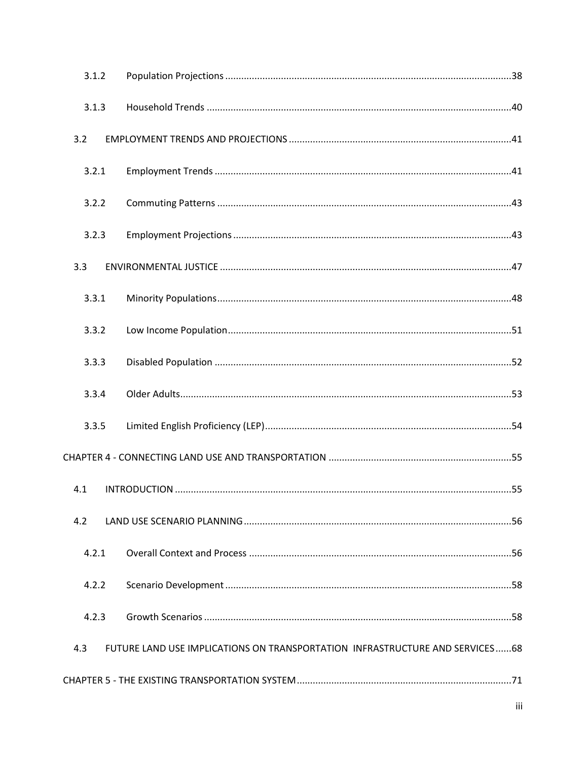| 3.1.2 |                                                                              |  |
|-------|------------------------------------------------------------------------------|--|
| 3.1.3 |                                                                              |  |
| 3.2   |                                                                              |  |
| 3.2.1 |                                                                              |  |
| 3.2.2 |                                                                              |  |
| 3.2.3 |                                                                              |  |
| 3.3   |                                                                              |  |
| 3.3.1 |                                                                              |  |
| 3.3.2 |                                                                              |  |
| 3.3.3 |                                                                              |  |
| 3.3.4 |                                                                              |  |
| 3.3.5 |                                                                              |  |
|       |                                                                              |  |
| 4.1   |                                                                              |  |
| 4.2   |                                                                              |  |
| 4.2.1 |                                                                              |  |
| 4.2.2 |                                                                              |  |
| 4.2.3 |                                                                              |  |
| 4.3   | FUTURE LAND USE IMPLICATIONS ON TRANSPORTATION INFRASTRUCTURE AND SERVICES68 |  |
|       |                                                                              |  |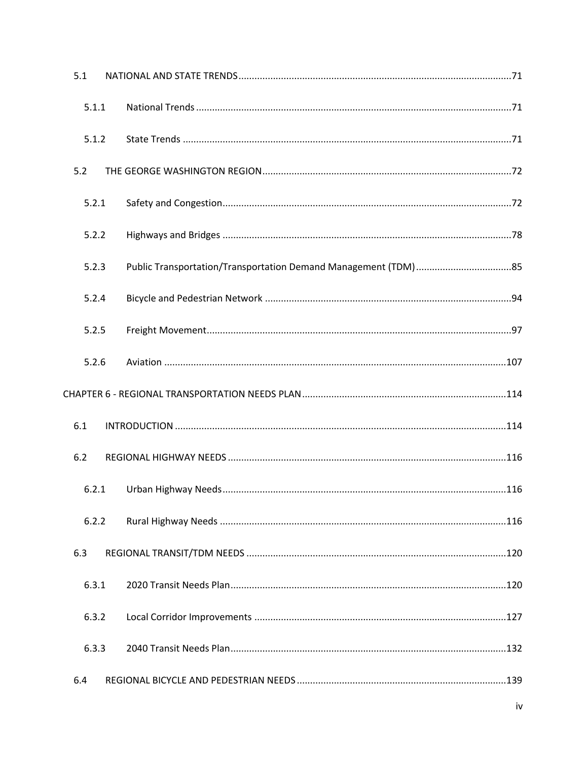| 5.1   |  |
|-------|--|
| 5.1.1 |  |
| 5.1.2 |  |
| 5.2   |  |
| 5.2.1 |  |
| 5.2.2 |  |
| 5.2.3 |  |
| 5.2.4 |  |
| 5.2.5 |  |
| 5.2.6 |  |
|       |  |
| 6.1   |  |
| 6.2   |  |
| 6.2.1 |  |
| 6.2.2 |  |
| 6.3   |  |
| 6.3.1 |  |
| 6.3.2 |  |
| 6.3.3 |  |
| 6.4   |  |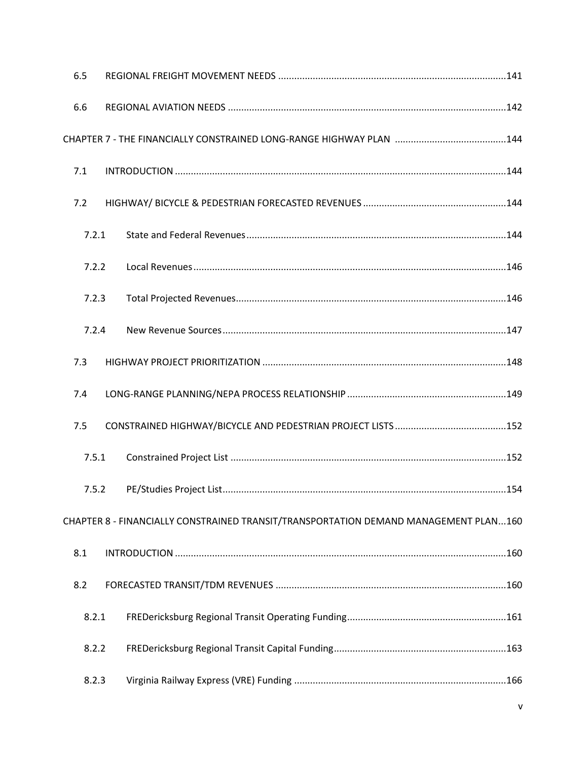| 6.5 |       |                                                                                      |  |
|-----|-------|--------------------------------------------------------------------------------------|--|
| 6.6 |       |                                                                                      |  |
|     |       |                                                                                      |  |
| 7.1 |       |                                                                                      |  |
| 7.2 |       |                                                                                      |  |
|     | 7.2.1 |                                                                                      |  |
|     | 7.2.2 |                                                                                      |  |
|     | 7.2.3 |                                                                                      |  |
|     | 7.2.4 |                                                                                      |  |
| 7.3 |       |                                                                                      |  |
| 7.4 |       |                                                                                      |  |
| 7.5 |       |                                                                                      |  |
|     | 7.5.1 |                                                                                      |  |
|     | 7.5.2 |                                                                                      |  |
|     |       | CHAPTER 8 - FINANCIALLY CONSTRAINED TRANSIT/TRANSPORTATION DEMAND MANAGEMENT PLAN160 |  |
| 8.1 |       |                                                                                      |  |
| 8.2 |       |                                                                                      |  |
|     | 8.2.1 |                                                                                      |  |
|     | 8.2.2 |                                                                                      |  |
|     | 8.2.3 |                                                                                      |  |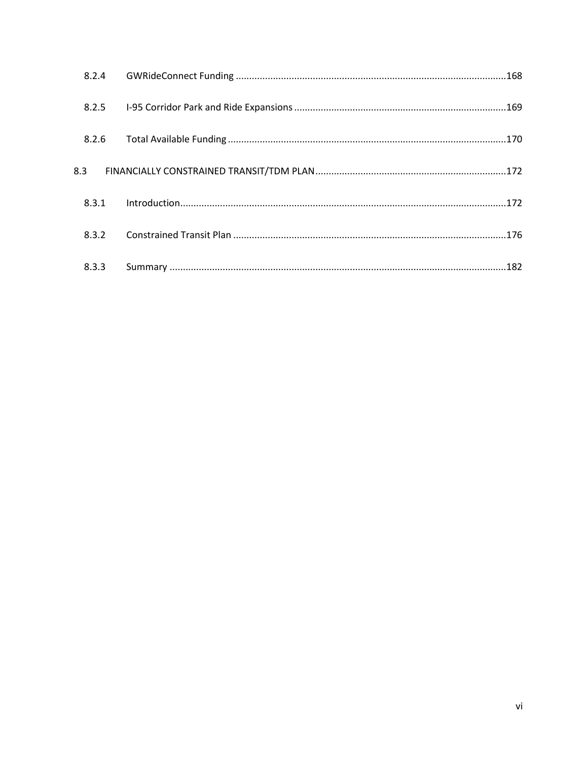| 8.2.4 |  |
|-------|--|
| 8.2.5 |  |
| 8.2.6 |  |
| 8.3   |  |
| 8.3.1 |  |
| 8.3.2 |  |
| 8.3.3 |  |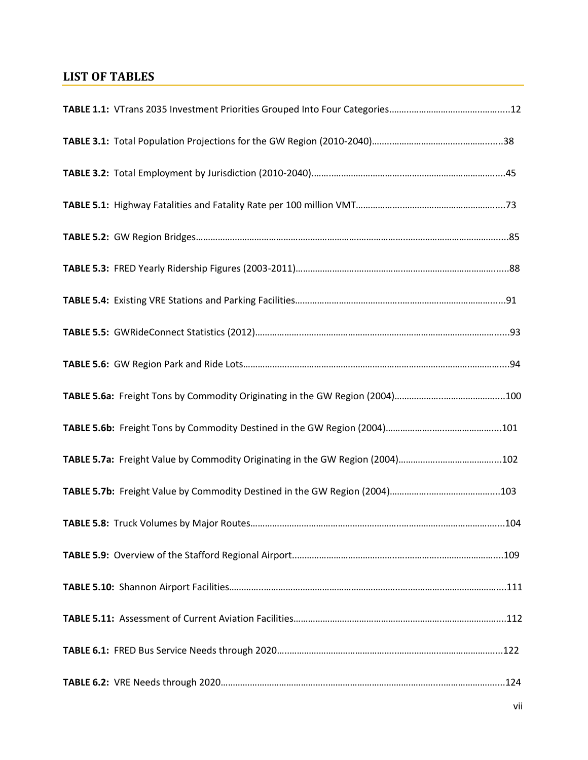## <span id="page-6-0"></span>**LIST OF TABLES**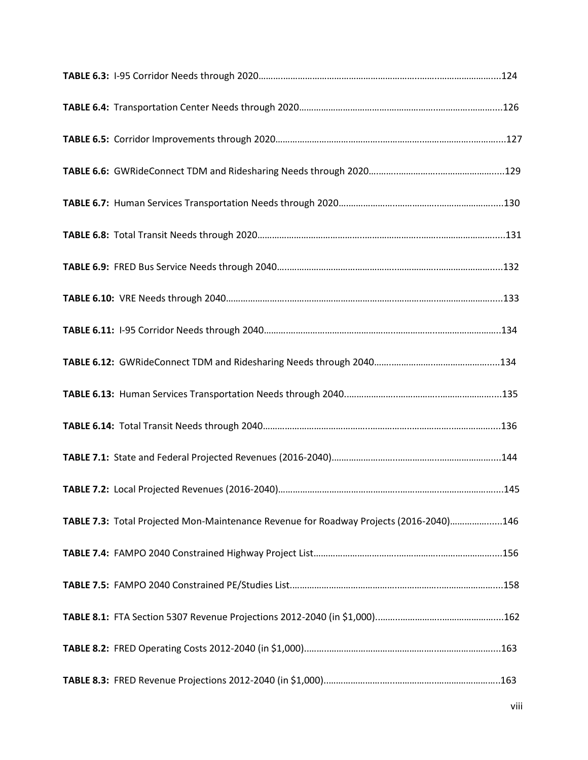| TABLE 7.3: Total Projected Mon-Maintenance Revenue for Roadway Projects (2016-2040)146 |  |
|----------------------------------------------------------------------------------------|--|
|                                                                                        |  |
|                                                                                        |  |
|                                                                                        |  |
|                                                                                        |  |
|                                                                                        |  |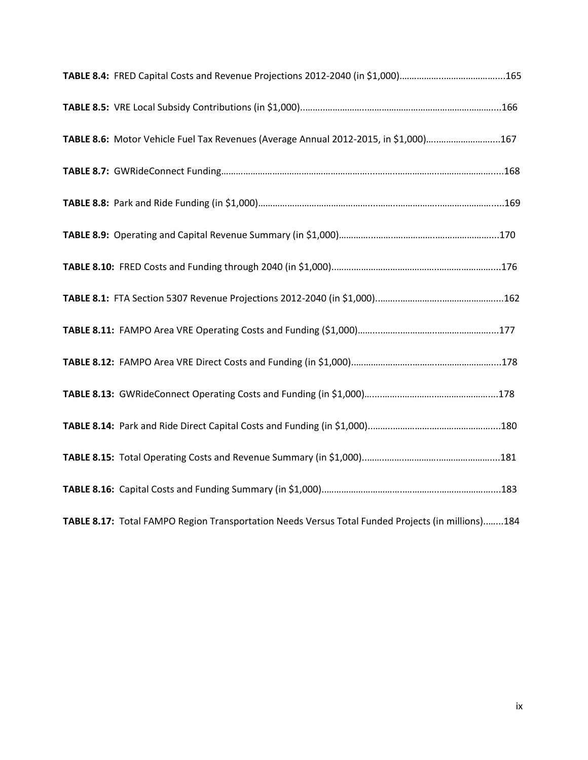| TABLE 8.6: Motor Vehicle Fuel Tax Revenues (Average Annual 2012-2015, in \$1,000)167              |  |
|---------------------------------------------------------------------------------------------------|--|
|                                                                                                   |  |
|                                                                                                   |  |
|                                                                                                   |  |
|                                                                                                   |  |
|                                                                                                   |  |
|                                                                                                   |  |
|                                                                                                   |  |
|                                                                                                   |  |
|                                                                                                   |  |
|                                                                                                   |  |
|                                                                                                   |  |
| TABLE 8.17: Total FAMPO Region Transportation Needs Versus Total Funded Projects (in millions)184 |  |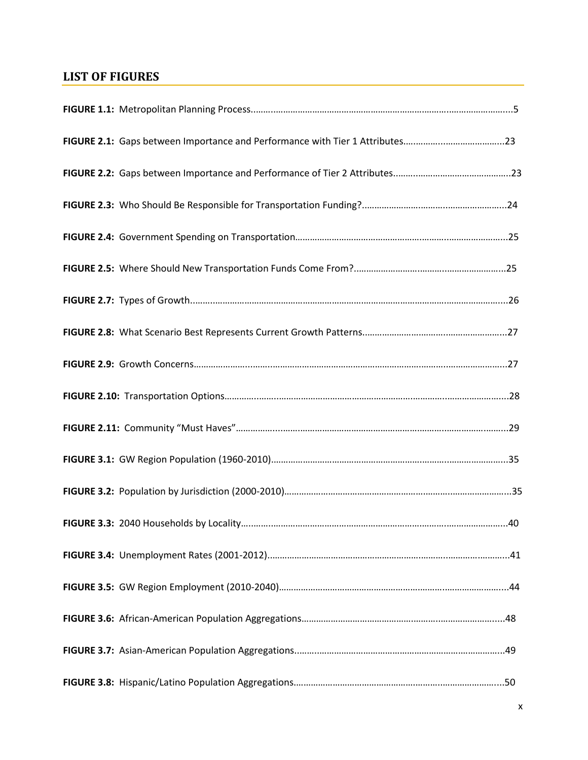## <span id="page-9-0"></span>**LIST OF FIGURES**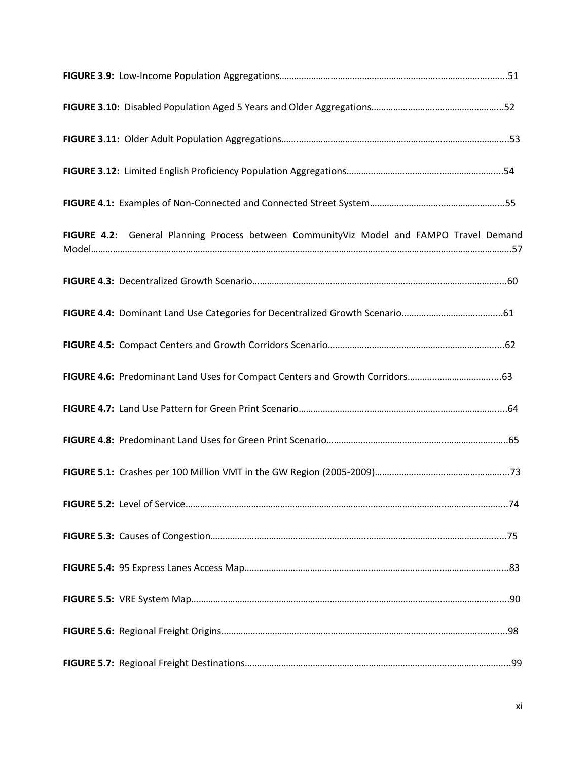| FIGURE 4.2: General Planning Process between CommunityViz Model and FAMPO Travel Demand |  |
|-----------------------------------------------------------------------------------------|--|
|                                                                                         |  |
|                                                                                         |  |
|                                                                                         |  |
| FIGURE 4.6: Predominant Land Uses for Compact Centers and Growth Corridors63            |  |
|                                                                                         |  |
|                                                                                         |  |
|                                                                                         |  |
|                                                                                         |  |
|                                                                                         |  |
|                                                                                         |  |
|                                                                                         |  |
|                                                                                         |  |
|                                                                                         |  |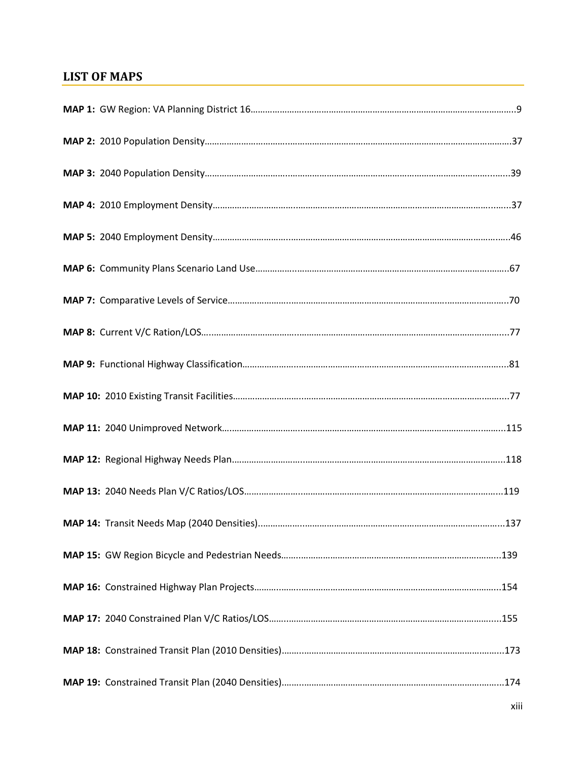## <span id="page-12-0"></span>**LIST OF MAPS**